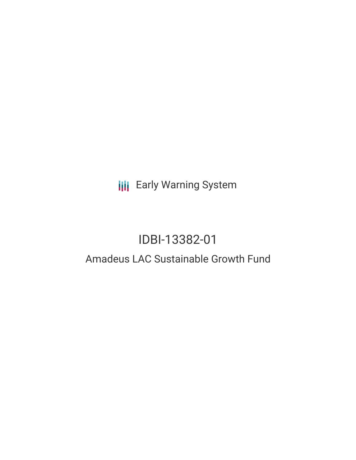**III** Early Warning System

# IDBI-13382-01

## Amadeus LAC Sustainable Growth Fund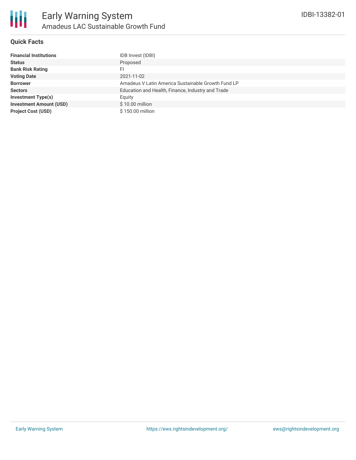

#### **Quick Facts**

| <b>Financial Institutions</b>  | IDB Invest (IDBI)                                  |
|--------------------------------|----------------------------------------------------|
| <b>Status</b>                  | Proposed                                           |
| <b>Bank Risk Rating</b>        | FI                                                 |
| <b>Voting Date</b>             | 2021-11-02                                         |
| <b>Borrower</b>                | Amadeus V Latin America Sustainable Growth Fund LP |
| <b>Sectors</b>                 | Education and Health, Finance, Industry and Trade  |
| Investment Type(s)             | Equity                                             |
| <b>Investment Amount (USD)</b> | \$10.00 million                                    |
| <b>Project Cost (USD)</b>      | \$150.00 million                                   |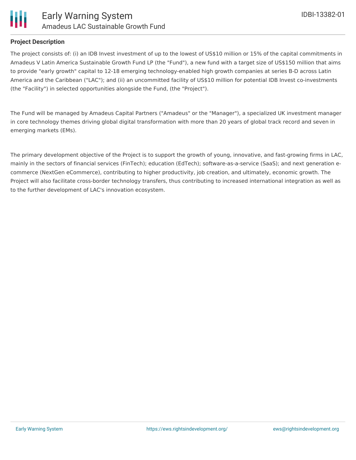

#### **Project Description**

The project consists of: (i) an IDB Invest investment of up to the lowest of US\$10 million or 15% of the capital commitments in Amadeus V Latin America Sustainable Growth Fund LP (the "Fund"), a new fund with a target size of US\$150 million that aims to provide "early growth" capital to 12-18 emerging technology-enabled high growth companies at series B-D across Latin America and the Caribbean ("LAC"); and (ii) an uncommitted facility of US\$10 million for potential IDB Invest co-investments (the "Facility") in selected opportunities alongside the Fund, (the "Project").

The Fund will be managed by Amadeus Capital Partners ("Amadeus" or the "Manager"), a specialized UK investment manager in core technology themes driving global digital transformation with more than 20 years of global track record and seven in emerging markets (EMs).

The primary development objective of the Project is to support the growth of young, innovative, and fast-growing firms in LAC, mainly in the sectors of financial services (FinTech); education (EdTech); software-as-a-service (SaaS); and next generation ecommerce (NextGen eCommerce), contributing to higher productivity, job creation, and ultimately, economic growth. The Project will also facilitate cross-border technology transfers, thus contributing to increased international integration as well as to the further development of LAC's innovation ecosystem.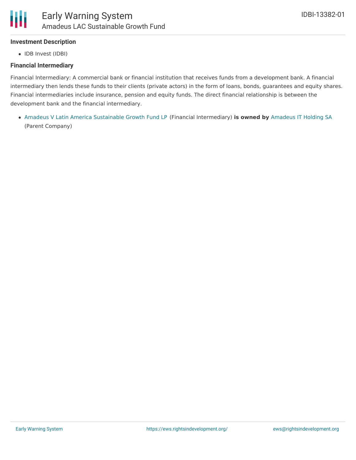### **Investment Description**

• IDB Invest (IDBI)

#### **Financial Intermediary**

Financial Intermediary: A commercial bank or financial institution that receives funds from a development bank. A financial intermediary then lends these funds to their clients (private actors) in the form of loans, bonds, guarantees and equity shares. Financial intermediaries include insurance, pension and equity funds. The direct financial relationship is between the development bank and the financial intermediary.

Amadeus V Latin America [Sustainable](file:///actor/7516/) Growth Fund LP (Financial Intermediary) **is owned by** [Amadeus](file:///actor/6105/) IT Holding SA (Parent Company)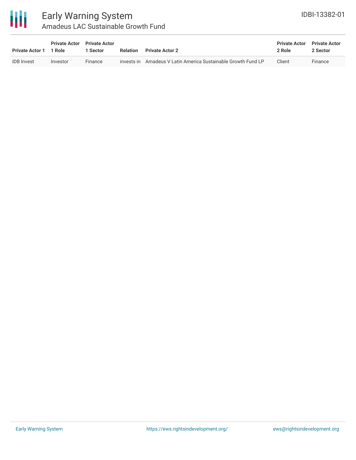

## Early Warning System Amadeus LAC Sustainable Growth Fund

| <b>Private Actor 1</b> | <b>Private Actor</b><br>1 Role | <b>Private Actor</b><br>1 Sector | Relation | <b>Private Actor 2</b>                                        | <b>Private Actor</b><br>2 Role | <b>Private Actor</b><br>2 Sector |
|------------------------|--------------------------------|----------------------------------|----------|---------------------------------------------------------------|--------------------------------|----------------------------------|
| <b>IDB</b> Invest      | Investor                       | Finance                          |          | invests in Amadeus V Latin America Sustainable Growth Fund LP | Client                         | Finance                          |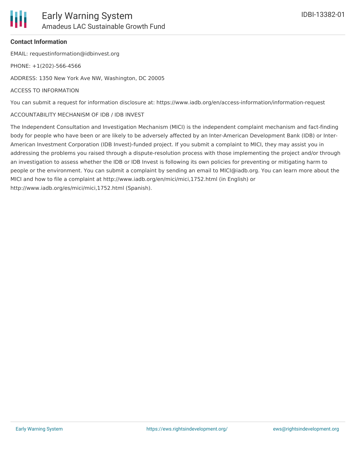## **Contact Information**

EMAIL: requestinformation@idbinvest.org

PHONE: +1(202)-566-4566

ADDRESS: 1350 New York Ave NW, Washington, DC 20005

## ACCESS TO INFORMATION

You can submit a request for information disclosure at: https://www.iadb.org/en/access-information/information-request

## ACCOUNTABILITY MECHANISM OF IDB / IDB INVEST

The Independent Consultation and Investigation Mechanism (MICI) is the independent complaint mechanism and fact-finding body for people who have been or are likely to be adversely affected by an Inter-American Development Bank (IDB) or Inter-American Investment Corporation (IDB Invest)-funded project. If you submit a complaint to MICI, they may assist you in addressing the problems you raised through a dispute-resolution process with those implementing the project and/or through an investigation to assess whether the IDB or IDB Invest is following its own policies for preventing or mitigating harm to people or the environment. You can submit a complaint by sending an email to MICI@iadb.org. You can learn more about the MICI and how to file a complaint at http://www.iadb.org/en/mici/mici,1752.html (in English) or http://www.iadb.org/es/mici/mici,1752.html (Spanish).